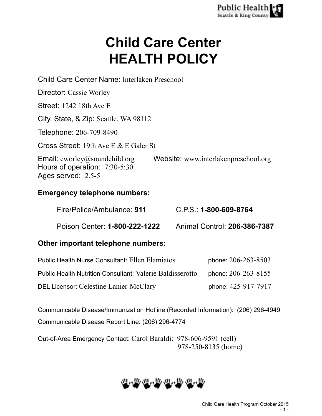# **Child Care Center HEALTH POLICY**

| Child Care Center Name: Interlaken Preschool                                                  |                                      |
|-----------------------------------------------------------------------------------------------|--------------------------------------|
| Director: Cassie Worley                                                                       |                                      |
| <b>Street: 1242 18th Ave E</b>                                                                |                                      |
| City, State, & Zip: Seattle, WA 98112                                                         |                                      |
| Telephone: 206-709-8490                                                                       |                                      |
| Cross Street: 19th Ave E $&$ E Galer St                                                       |                                      |
| <b>Email:</b> cworley@soundchild.org<br>Hours of operation: $7:30-5:30$<br>Ages served: 2.5-5 | Website: www.interlakenpreschool.org |
| <b>Emergency telephone numbers:</b>                                                           |                                      |

Fire/Police/Ambulance: **911** C.P.S.: **1-800-609-8764**

Poison Center: **1-800-222-1222** Animal Control: **206-386-7387**

# **Other important telephone numbers:**

| <b>Public Health Nurse Consultant: Ellen Flamiatos</b>           | phone: 206-263-8503 |
|------------------------------------------------------------------|---------------------|
| <b>Public Health Nutrition Consultant: Valerie Baldisserotto</b> | phone: 206-263-8155 |
| DEL Licensor: Celestine Lanier-McClary                           | phone: 425-917-7917 |

Communicable Disease/Immunization Hotline (Recorded Information): (206) 296-4949 Communicable Disease Report Line: (206) 296-4774

Out-of-Area Emergency Contact: Carol Baraldi: 978-606-9591 (cell) 978-250-8135 (home)

# **四/mg/mg/mg/mg/mg/mg/mg/mg/mg/**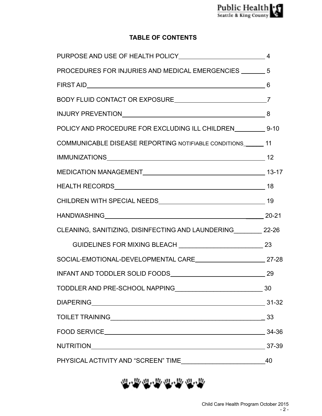# **TABLE OF CONTENTS**

| PROCEDURES FOR INJURIES AND MEDICAL EMERGENCIES _______ 5                                                       |  |
|-----------------------------------------------------------------------------------------------------------------|--|
|                                                                                                                 |  |
|                                                                                                                 |  |
| INJURY PREVENTIONNNALL And ALCOHOL AND A SALE AND A SALE AND A SALE AND A SALE AND A SALE AND A SALE AND A SALE |  |
| POLICY AND PROCEDURE FOR EXCLUDING ILL CHILDREN ___________ 9-10                                                |  |
| COMMUNICABLE DISEASE REPORTING NOTIFIABLE CONDITIONS_______ 11                                                  |  |
|                                                                                                                 |  |
|                                                                                                                 |  |
|                                                                                                                 |  |
|                                                                                                                 |  |
|                                                                                                                 |  |
| CLEANING, SANITIZING, DISINFECTING AND LAUNDERING ________ 22-26                                                |  |
|                                                                                                                 |  |
| SOCIAL-EMOTIONAL-DEVELOPMENTAL CARE 27-28                                                                       |  |
|                                                                                                                 |  |
|                                                                                                                 |  |
|                                                                                                                 |  |
|                                                                                                                 |  |
|                                                                                                                 |  |
|                                                                                                                 |  |
|                                                                                                                 |  |

世界世界世界世界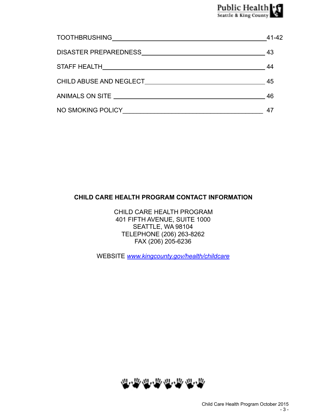|                                                                                                                                                                                                                                | 41-42 |
|--------------------------------------------------------------------------------------------------------------------------------------------------------------------------------------------------------------------------------|-------|
|                                                                                                                                                                                                                                | -43   |
|                                                                                                                                                                                                                                | -44   |
| CHILD ABUSE AND NEGLECT AND THE STATE OF THE STATE OF THE STATE OF THE STATE OF THE STATE OF THE STATE OF THE STATE OF THE STATE OF THE STATE OF THE STATE OF THE STATE OF THE STATE OF THE STATE OF THE STATE OF THE STATE OF | 45    |
|                                                                                                                                                                                                                                | 46    |
| NO SMOKING POLICY                                                                                                                                                                                                              | 4     |

# **CHILD CARE HEALTH PROGRAM CONTACT INFORMATION**

CHILD CARE HEALTH PROGRAM 401 FIFTH AVENUE, SUITE 1000 SEATTLE, WA 98104 TELEPHONE (206) 263-8262 FAX (206) 205-6236

WEBSITE *[www.kingcounty.gov/health/childcare](http://www.kingcounty.gov/health/childcare)*

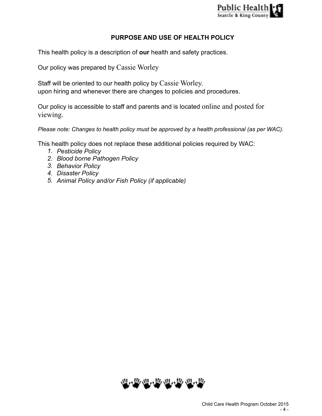

# **PURPOSE AND USE OF HEALTH POLICY**

This health policy is a description of **our** health and safety practices.

Our policy was prepared by Cassie Worley

Staff will be oriented to our health policy by Cassie Worley. upon hiring and whenever there are changes to policies and procedures.

Our policy is accessible to staff and parents and is located online and posted for viewing.

*Please note: Changes to health policy must be approved by a health professional (as per WAC).* 

This health policy does not replace these additional policies required by WAC:

- *1. Pesticide Policy*
- *2. Blood borne Pathogen Policy*
- *3. Behavior Policy*
- *4. Disaster Policy*
- *5. Animal Policy and/or Fish Policy (if applicable)*

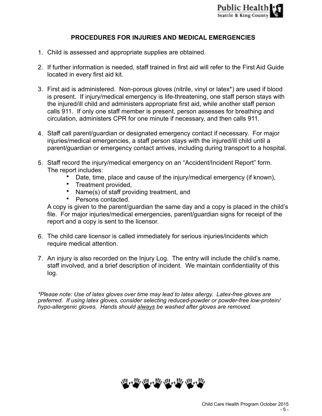# **PROCEDURES FOR INJURIES AND MEDICAL EMERGENCIES**

- 1. Child is assessed and appropriate supplies are obtained.
- 2. If further information is needed, staff trained in first aid will refer to the First Aid Guide located in every first aid kit.
- 3. First aid is administered. Non-porous gloves (nitrile, vinyl or latex\*) are used if blood is present. If injury/medical emergency is life-threatening, one staff person stays with the injured/ill child and administers appropriate first aid, while another staff person calls 911. If only one staff member is present, person assesses for breathing and circulation, administers CPR for one minute if necessary, and then calls 911.
- 4. Staff call parent/guardian or designated emergency contact if necessary. For major injuries/medical emergencies, a staff person stays with the injured/ill child until a parent/guardian or emergency contact arrives, including during transport to a hospital.
- 5. Staff record the injury/medical emergency on an "Accident/Incident Report" form. The report includes:
	- Date, time, place and cause of the injury/medical emergency (if known),
	- Treatment provided,
	- Name(s) of staff providing treatment, and
	- Persons contacted.

A copy is given to the parent/guardian the same day and a copy is placed in the child's file. For major injuries/medical emergencies, parent/guardian signs for receipt of the report and a copy is sent to the licensor.

- 6. The child care licensor is called immediately for serious injuries/incidents which require medical attention.
- 7. An injury is also recorded on the Injury Log. The entry will include the child's name, staff involved, and a brief description of incident. We maintain confidentiality of this log.

*\*Please note: Use of latex gloves over time may lead to latex allergy. Latex-free gloves are preferred. If using latex gloves, consider selecting reduced-powder or powder-free low-protein/ hypo-allergenic gloves. Hands should always be washed after gloves are removed.* 

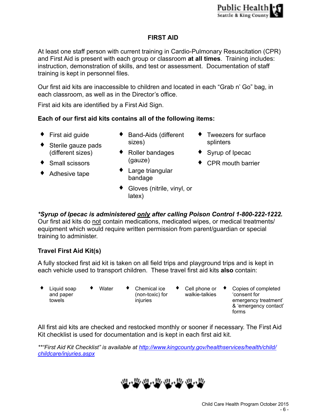# **FIRST AID**

At least one staff person with current training in Cardio-Pulmonary Resuscitation (CPR) and First Aid is present with each group or classroom **at all times**. Training includes: instruction, demonstration of skills, and test or assessment. Documentation of staff training is kept in personnel files.

Our first aid kits are inaccessible to children and located in each "Grab n' Go" bag, in each classroom, as well as in the Director's office.

First aid kits are identified by a First Aid Sign.

# **Each of our first aid kits contains all of the following items:**

- ♦ First aid guide
- $\bullet$  Sterile gauze pads (different sizes)
- ♦ Small scissors
- ◆ Adhesive tape
- ◆ Band-Aids (different sizes)
- ◆ Roller bandages (gauze)
- ♦ Large triangular bandage
- ♦ Gloves (nitrile, vinyl, or latex)
- ♦ Tweezers for surface splinters
- ♦ Syrup of Ipecac
- ♦ CPR mouth barrier

*\*Syrup of Ipecac is administered only after calling Poison Control 1-800-222-1222.*  Our first aid kits do not contain medications, medicated wipes, or medical treatments/ equipment which would require written permission from parent/guardian or special training to administer.

# **Travel First Aid Kit(s)**

A fully stocked first aid kit is taken on all field trips and playground trips and is kept in each vehicle used to transport children. These travel first aid kits **also** contain:

- Liquid soap and paper towels
- 
- ♦ Water ♦ Chemical ice (non-toxic) for injuries
- $\bullet$  Cell phone or  $\bullet$ walkie-talkies
	- Copies of completed 'consent for emergency treatment' & 'emergency contact' forms

All first aid kits are checked and restocked monthly or sooner if necessary. The First Aid Kit checklist is used for documentation and is kept in each first aid kit.

*[\\*\\*"First Aid Kit Checklist" is available at http://www.kingcounty.gov/healthservices/health/child/](http://www.kingcounty.gov/healthservices/health/child/childcare/injuries.aspx) childcare/injuries.aspx*

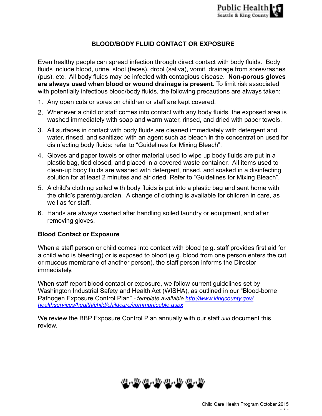# **BLOOD/BODY FLUID CONTACT OR EXPOSURE**

Even healthy people can spread infection through direct contact with body fluids. Body fluids include blood, urine, stool (feces), drool (saliva), vomit, drainage from sores/rashes (pus), etc. All body fluids may be infected with contagious disease. **Non-porous gloves are always used when blood or wound drainage is present.** To limit risk associated with potentially infectious blood/body fluids, the following precautions are always taken:

- 1. Any open cuts or sores on children or staff are kept covered.
- 2. Whenever a child or staff comes into contact with any body fluids, the exposed area is washed immediately with soap and warm water, rinsed, and dried with paper towels.
- 3. All surfaces in contact with body fluids are cleaned immediately with detergent and water, rinsed, and sanitized with an agent such as bleach in the concentration used for disinfecting body fluids: refer to "Guidelines for Mixing Bleach",
- 4. Gloves and paper towels or other material used to wipe up body fluids are put in a plastic bag, tied closed, and placed in a covered waste container. All items used to clean-up body fluids are washed with detergent, rinsed, and soaked in a disinfecting solution for at least 2 minutes and air dried. Refer to "Guidelines for Mixing Bleach".
- 5. A child's clothing soiled with body fluids is put into a plastic bag and sent home with the child's parent/guardian. A change of clothing is available for children in care, as well as for staff.
- 6. Hands are always washed after handling soiled laundry or equipment, and after removing gloves.

### **Blood Contact or Exposure**

When a staff person or child comes into contact with blood (e.g. staff provides first aid for a child who is bleeding) or is exposed to blood (e.g. blood from one person enters the cut or mucous membrane of another person), the staff person informs the Director immediately.

When staff report blood contact or exposure, we follow current guidelines set by Washington Industrial Safety and Health Act (WISHA), as outlined in our "Blood-borne Pathogen Exposure Control Plan" *- template available http://www.kingcounty.gov/ [healthservices/health/child/childcare/communicable.aspx](http://www.kingcounty.gov/healthservices/health/child/childcare/communicable.aspx)*

We review the BBP Exposure Control Plan annually with our staff *and* document this review.

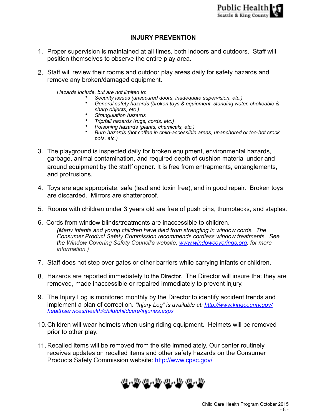# **INJURY PREVENTION**

- 1. Proper supervision is maintained at all times, both indoors and outdoors. Staff will position themselves to observe the entire play area.
- 2. Staff will review their rooms and outdoor play areas daily for safety hazards and remove any broken/damaged equipment.

*Hazards include, but are not limited to*:

- *Security issues (unsecured doors, inadequate supervision, etc.)*
- *General safety hazards (broken toys & equipment, standing water, chokeable & sharp objects, etc.)*
- *Strangulation hazards*
- *Trip/fall hazards (rugs, cords, etc.)*
- *Poisoning hazards (plants, chemicals, etc.)*
- *Burn hazards (hot coffee in child-accessible areas, unanchored or too-hot crock pots, etc.)*
- 3. The playground is inspected daily for broken equipment, environmental hazards, garbage, animal contamination, and required depth of cushion material under and around equipment by the staff opener. It is free from entrapments, entanglements, and protrusions.
- 4. Toys are age appropriate, safe (lead and toxin free), and in good repair. Broken toys are discarded. Mirrors are shatterproof.
- 5. Rooms with children under 3 years old are free of push pins, thumbtacks, and staples.
- 6. Cords from window blinds/treatments are inaccessible to children. *(Many infants and young children have died from strangling in window cords. The Consumer Product Safety Commission recommends cordless window treatments. See the Window Covering Safety Council's website, [www.windowcoverings.org,](http://www.windowcoverings.org) for more information.)*
- 7. Staff does not step over gates or other barriers while carrying infants or children.
- 8. Hazards are reported immediately to the Director. The Director will insure that they are removed, made inaccessible or repaired immediately to prevent injury.
- 9. The Injury Log is monitored monthly by the Director to identify accident trends and implement a plan of correction. *["Injury Log" is available at: http://www.kingcounty.gov/](http://www.kingcounty.gov/healthservices/health/child/childcare/injuries.aspx) healthservices/health/child/childcare/injuries.aspx*
- 10.Children will wear helmets when using riding equipment. Helmets will be removed prior to other play.
- 11. Recalled items will be removed from the site immediately. Our center routinely receives updates on recalled items and other safety hazards on the Consumer Products Safety Commission website: <http://www.cpsc.gov/>

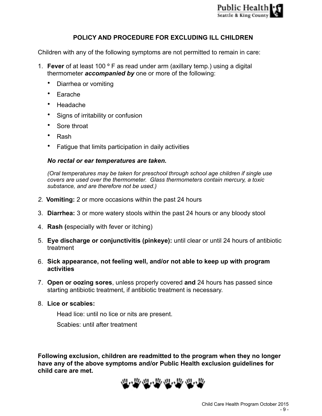

# **POLICY AND PROCEDURE FOR EXCLUDING ILL CHILDREN**

Children with any of the following symptoms are not permitted to remain in care:

- 1. **Fever** of at least 100 º F as read under arm (axillary temp.) using a digital thermometer *accompanied by* one or more of the following:
	- Diarrhea or vomiting
	- Earache
	- Headache
	- Signs of irritability or confusion
	- Sore throat
	- Rash
	- Fatigue that limits participation in daily activities

#### *No rectal or ear temperatures are taken.*

*(Oral temperatures may be taken for preschool through school age children if single use covers are used over the thermometer. Glass thermometers contain mercury, a toxic substance, and are therefore not be used.)* 

- *2.* **Vomiting:** 2 or more occasions within the past 24 hours
- 3. **Diarrhea:** 3 or more watery stools within the past 24 hours or any bloody stool
- 4. **Rash (**especially with fever or itching)
- 5. **Eye discharge or conjunctivitis (pinkeye):** until clear or until 24 hours of antibiotic treatment
- 6. **Sick appearance, not feeling well, and/or not able to keep up with program activities**
- 7. **Open or oozing sores**, unless properly covered **and** 24 hours has passed since starting antibiotic treatment, if antibiotic treatment is necessary.
- 8. **Lice or scabies:**

Head lice: until no lice or nits are present.

Scabies: until after treatment

**Following exclusion, children are readmitted to the program when they no longer have any of the above symptoms and/or Public Health exclusion guidelines for child care are met.** 

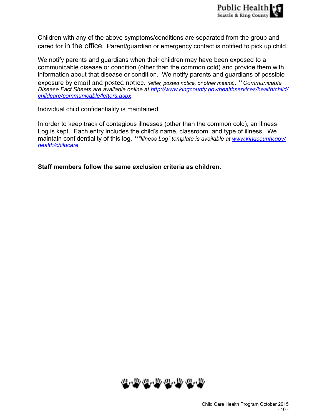Children with any of the above symptoms/conditions are separated from the group and cared for in the office.Parent/guardian or emergency contact is notified to pick up child.

We notify parents and guardians when their children may have been exposed to a communicable disease or condition (other than the common cold) and provide them with information about that disease or condition. We notify parents and guardians of possible exposure by email and posted notice. *(letter, posted notice, or other means)*. \*\**Communicable [Disease Fact Sheets are available online at http://www.kingcounty.gov/healthservices/health/child/](http://www.kingcounty.gov/healthservices/health/child/childcare/communicable/letters.aspx) childcare/communicable/letters.aspx*

Individual child confidentiality is maintained.

In order to keep track of contagious illnesses (other than the common cold), an Illness Log is kept. Each entry includes the child's name, classroom, and type of illness. We maintain confidentiality of this log. *[\\*\\*"Illness Log" template is available at www.kingcounty.gov/](http://www.kingcounty.gov/health/childcare) health/childcare*

**Staff members follow the same exclusion criteria as children**.

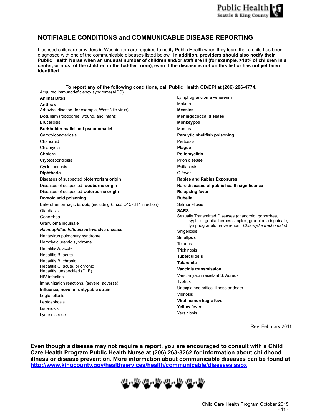

### **NOTIFIABLE CONDITIONS and COMMUNICABLE DISEASE REPORTING**

Licensed childcare providers in Washington are required to notify Public Health when they learn that a child has been diagnosed with one of the communicable diseases listed below. **In addition, providers should also notify their Public Health Nurse when an unusual number of children and/or staff are ill (for example, >10% of children in a center, or most of the children in the toddler room), even if the disease is not on this list or has not yet been identified.** 

**To report any of the following conditions, call Public Health CD/EPI at (206) 296-4774.**

| LAcquired immunodeficiency syndrome(AIDS)                        |                                                                                                            |
|------------------------------------------------------------------|------------------------------------------------------------------------------------------------------------|
| <b>Animal Bites</b>                                              | Lymphogranuloma venereum                                                                                   |
| Anthrax                                                          | Malaria                                                                                                    |
| Arboviral disease (for example, West Nile virus)                 | <b>Measles</b>                                                                                             |
| Botulism (foodborne, wound, and infant)                          | <b>Meningococcal disease</b>                                                                               |
| <b>Brucellosis</b>                                               | <b>Monkeypox</b>                                                                                           |
| Burkholder mallei and pseudomallei                               | Mumps                                                                                                      |
| Campylobacteriosis                                               | Paralytic shellfish poisoning                                                                              |
| Chancroid                                                        | Pertussis                                                                                                  |
| Chlamydia                                                        | Plague                                                                                                     |
| Cholera                                                          | <b>Poliomyelitis</b>                                                                                       |
| Cryptosporidiosis                                                | Prion disease                                                                                              |
| Cyclosporiasis                                                   | Psittacosis                                                                                                |
| <b>Diphtheria</b>                                                | Q fever                                                                                                    |
| Diseases of suspected bioterrorism origin                        | <b>Rabies and Rabies Exposures</b>                                                                         |
| Diseases of suspected foodborne origin                           | Rare diseases of public health significance                                                                |
| Diseases of suspected waterborne origin                          | <b>Relapsing fever</b>                                                                                     |
| Domoic acid poisoning                                            | <b>Rubella</b>                                                                                             |
| Enterohemorrhagic E. coli, (including E. coli O157:H7 infection) | Salmonellosis                                                                                              |
| Giardiasis                                                       | <b>SARS</b>                                                                                                |
| Gonorrhea                                                        | Sexually Transmitted Diseases (chancroid, gonorrhea,                                                       |
| Granuloma inguinale                                              | syphilis, genital herpes simplex, granuloma inguinale,<br>lymphogranuloma venerium, Chlamydia trachomatis) |
| Haemophilus influenzae invasive disease                          | Shigellosis                                                                                                |
| Hantavirus pulmonary syndrome                                    | <b>Smallpox</b>                                                                                            |
| Hemolytic uremic syndrome                                        | Tetanus                                                                                                    |
| Hepatitis A, acute                                               | Trichinosis                                                                                                |
| Hepatitis B, acute                                               | <b>Tuberculosis</b>                                                                                        |
| Hepatitis B, chronic                                             | <b>Tularemia</b>                                                                                           |
| Hepatitis C, acute, or chronic                                   | Vaccinia transmission                                                                                      |
| Hepatitis, unspecified (D, E)<br><b>HIV</b> infection            | Vancomyacin resistant S. Aureus                                                                            |
|                                                                  | Typhus                                                                                                     |
| Immunization reactions, (severe, adverse)                        | Unexplained critical illness or death                                                                      |
| Influenza, novel or untypable strain                             | Vibriosis                                                                                                  |
| Legionellosis                                                    | Viral hemorrhagic fever                                                                                    |
| Leptospirosis                                                    | <b>Yellow fever</b>                                                                                        |
| Listeriosis                                                      | Yersiniosis                                                                                                |
| Lyme disease                                                     |                                                                                                            |

Rev. February 2011

**Even though a disease may not require a report, you are encouraged to consult with a Child Care Health Program Public Health Nurse at (206) 263-8262 for information about childhood illness or disease prevention. More information about communicable diseases can be found at <http://www.kingcounty.gov/healthservices/health/communicable/diseases.aspx>**

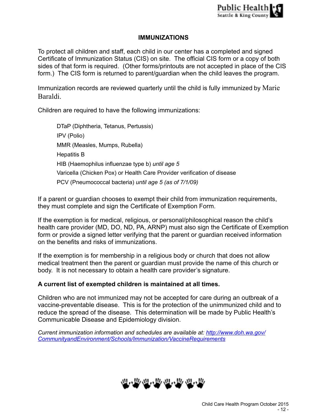# **IMMUNIZATIONS**

To protect all children and staff, each child in our center has a completed and signed Certificate of Immunization Status (CIS) on site. The official CIS form or a copy of both sides of that form is required. (Other forms/printouts are not accepted in place of the CIS form.) The CIS form is returned to parent/guardian when the child leaves the program.

Immunization records are reviewed quarterly until the child is fully immunized by Marie Baraldi.

Children are required to have the following immunizations:

DTaP (Diphtheria, Tetanus, Pertussis) IPV (Polio) MMR (Measles, Mumps, Rubella) Hepatitis B HIB (Haemophilus influenzae type b) *until age 5* Varicella (Chicken Pox) or Health Care Provider verification of disease PCV (Pneumococcal bacteria) *until age 5 (as of 7/1/09)*

If a parent or guardian chooses to exempt their child from immunization requirements, they must complete and sign the Certificate of Exemption Form.

If the exemption is for medical, religious, or personal/philosophical reason the child's health care provider (MD, DO, ND, PA, ARNP) must also sign the Certificate of Exemption form or provide a signed letter verifying that the parent or guardian received information on the benefits and risks of immunizations.

If the exemption is for membership in a religious body or church that does not allow medical treatment then the parent or guardian must provide the name of this church or body. It is not necessary to obtain a health care provider's signature.

# **A current list of exempted children is maintained at all times.**

Children who are not immunized may not be accepted for care during an outbreak of a vaccine-preventable disease. This is for the protection of the unimmunized child and to reduce the spread of the disease. This determination will be made by Public Health's Communicable Disease and Epidemiology division.

*[Current immunization information and schedules are available at: http://www.doh.wa.gov/](http://www.doh.wa.gov/CommunityandEnvironment/Schools/Immunization/VaccineRequirements) CommunityandEnvironment/Schools/Immunization/VaccineRequirements* 

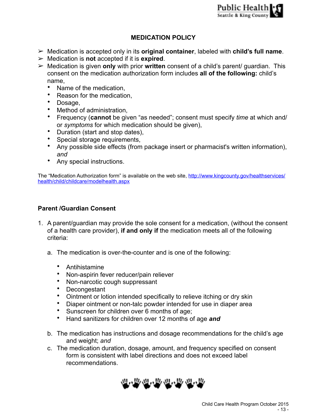# **MEDICATION POLICY**

- ➢ Medication is accepted only in its **original container**, labeled with **child's full name**.
- ➢ Medication is **not** accepted if it is **expired**.
- ➢ Medication is given **only** with prior **written** consent of a child's parent/ guardian. This consent on the medication authorization form includes **all of the following:** child's name,
	- Name of the medication,
	- Reason for the medication,
	- Dosage,
	- Method of administration,
	- Frequency (**cannot** be given "as needed"; consent must specify *time* at which and/ or *symptoms* for which medication should be given),
	- Duration (start and stop dates),
	- Special storage requirements,
	- Any possible side effects (from package insert or pharmacist's written information), *and*
	- Any special instructions.

[The "Medication Authorization form" is available on the web site,](http://www.kingcounty.gov/healthservices/health/child/childcare/modelhealth.aspx) http://www.kingcounty.gov/healthservices/ health/child/childcare/modelhealth.aspx

# **Parent /Guardian Consent**

- 1. A parent/guardian may provide the sole consent for a medication, (without the consent of a health care provider), **if and only if** the medication meets all of the following criteria:
	- a. The medication is over-the-counter and is one of the following:
		- Antihistamine
		- Non-aspirin fever reducer/pain reliever
		- Non-narcotic cough suppressant
		- Decongestant
		- Ointment or lotion intended specifically to relieve itching or dry skin
		- Diaper ointment or non-talc powder intended for use in diaper area
		- Sunscreen for children over 6 months of age;
		- Hand sanitizers for children over 12 months of age *and*
	- b. The medication has instructions and dosage recommendations for the child's age and weight; *and*
	- c. The medication duration, dosage, amount, and frequency specified on consent form is consistent with label directions and does not exceed label recommendations.

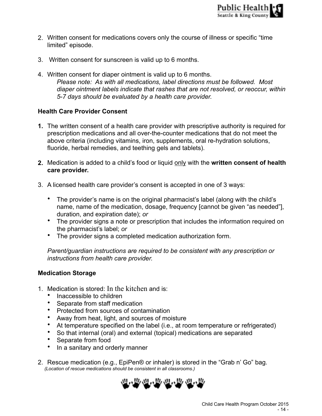- 2. Written consent for medications covers only the course of illness or specific "time limited" episode.
- 3. Written consent for sunscreen is valid up to 6 months.
- 4. Written consent for diaper ointment is valid up to 6 months.  *Please note: As with all medications, label directions must be followed. Most diaper ointment labels indicate that rashes that are not resolved, or reoccur, within 5-7 days should be evaluated by a health care provider.*

# **Health Care Provider Consent**

- **1.** The written consent of a health care provider with prescriptive authority is required for prescription medications and all over-the-counter medications that do not meet the above criteria (including vitamins, iron, supplements, oral re-hydration solutions, fluoride, herbal remedies, and teething gels and tablets).
- **2.** Medication is added to a child's food or liquid only with the **written consent of health care provider.**
- 3. A licensed health care provider's consent is accepted in one of 3 ways:
	- The provider's name is on the original pharmacist's label (along with the child's name, name of the medication, dosage, frequency [cannot be given "as needed"], duration, and expiration date); *or*
	- The provider signs a note or prescription that includes the information required on the pharmacist's label; *or*
	- The provider signs a completed medication authorization form.

*Parent/guardian instructions are required to be consistent with any prescription or instructions from health care provider.* 

### **Medication Storage**

- 1. Medication is stored: In the kitchen and is:
	- Inaccessible to children
	- Separate from staff medication
	- Protected from sources of contamination
	- Away from heat, light, and sources of moisture
	- At temperature specified on the label (i.e., at room temperature or refrigerated)<br>• So that internal (oral) and external (topical) medications are separated
	- So that internal (oral) and external (topical) medications are separated
	- Separate from food
	- In a sanitary and orderly manner
- 2. Rescue medication (e.g., EpiPen® or inhaler) is stored in the "Grab n' Go" bag.  *(Location of rescue medications should be consistent in all classrooms.)*

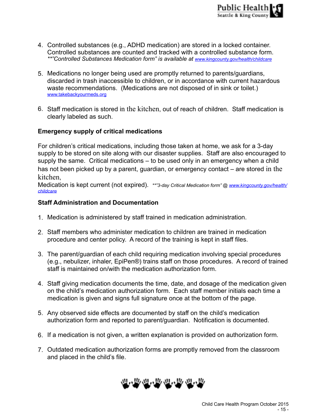- 4. Controlled substances (e.g., ADHD medication) are stored in a locked container. Controlled substances are counted and tracked with a controlled substance form. *\*\*"Controlled Substances Medication form" is available at [www.kingcounty.gov/health/childcare](http://www.kingcounty.gov/health/childcare)*
- 5. Medications no longer being used are promptly returned to parents/guardians, discarded in trash inaccessible to children, or in accordance with current hazardous waste recommendations. (Medications are not disposed of in sink or toilet.) [www.takebackyourmeds.org](http://www.takebackyourmeds.org)
- 6. Staff medication is stored in the kitchen, out of reach of children. Staff medication is clearly labeled as such.

# **Emergency supply of critical medications**

For children's critical medications, including those taken at home, we ask for a 3-day supply to be stored on site along with our disaster supplies. Staff are also encouraged to supply the same. Critical medications – to be used only in an emergency when a child has not been picked up by a parent, guardian, or emergency contact – are stored in the kitchen,

[Medication is kept current \(not expired\).](http://www.kingcounty.gov/health/childcare) *\*\*"3-day Critical Medication form" @ www.kingcounty.gov/health/ childcare*

### **Staff Administration and Documentation**

- 1. Medication is administered by staff trained in medication administration.
- 2. Staff members who administer medication to children are trained in medication procedure and center policy. A record of the training is kept in staff files.
- 3. The parent/guardian of each child requiring medication involving special procedures (e.g., nebulizer, inhaler, EpiPen®) trains staff on those procedures. A record of trained staff is maintained on/with the medication authorization form.
- 4. Staff giving medication documents the time, date, and dosage of the medication given on the child's medication authorization form. Each staff member initials each time a medication is given and signs full signature once at the bottom of the page.
- 5. Any observed side effects are documented by staff on the child's medication authorization form and reported to parent/guardian. Notification is documented.
- 6. If a medication is not given, a written explanation is provided on authorization form.
- 7. Outdated medication authorization forms are promptly removed from the classroom and placed in the child's file.

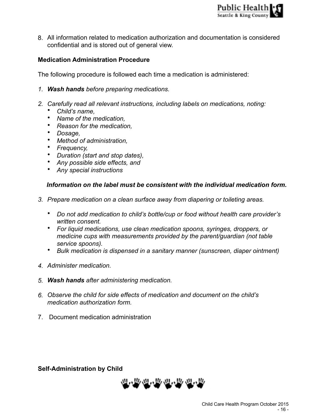8. All information related to medication authorization and documentation is considered confidential and is stored out of general view.

# **Medication Administration Procedure**

The following procedure is followed each time a medication is administered:

- *1. Wash hands before preparing medications.*
- *2. Carefully read all relevant instructions, including labels on medications, noting:* 
	- *Child's name,*
	- *Name of the medication,*
	- *Reason for the medication,*
	- *Dosage,*
	- *Method of administration,*
	- *Frequency,*
	- *Duration (start and stop dates),*
	- *Any possible side effects, and*
	- *Any special instructions*

# *Information on the label must be consistent with the individual medication form.*

- *3. Prepare medication on a clean surface away from diapering or toileting areas.* 
	- *Do not add medication to child's bottle/cup or food without health care provider's written consent.*
	- *For liquid medications, use clean medication spoons, syringes, droppers, or medicine cups with measurements provided by the parent/guardian (not table service spoons).*
	- *Bulk medication is dispensed in a sanitary manner (sunscreen, diaper ointment)*
- *4. Administer medication.*
- *5. Wash hands after administering medication.*
- *6. Observe the child for side effects of medication and document on the child's medication authorization form.*
- 7. Document medication administration

# **Self-Administration by Child**

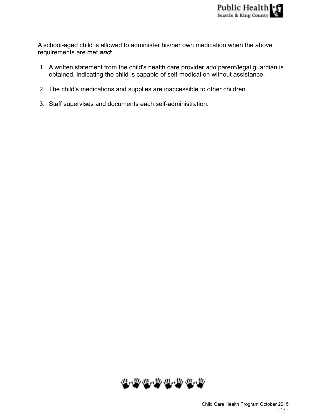A school-aged child is allowed to administer his/her own medication when the above requirements are met *and*:

- 1. A written statement from the child's health care provider *and* parent/legal guardian is obtained, indicating the child is capable of self-medication without assistance.
- 2. The child's medications and supplies are inaccessible to other children.
- 3. Staff supervises and documents each self-administration.

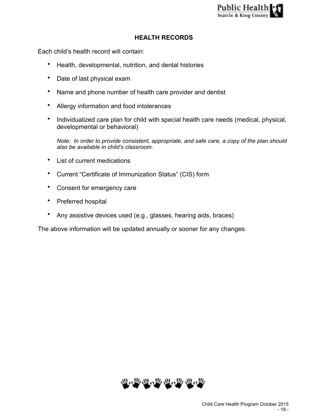

### **HEALTH RECORDS**

Each child's health record will contain:

- Health, developmental, nutrition, and dental histories
- Date of last physical exam
- Name and phone number of health care provider and dentist
- Allergy information and food intolerances
- Individualized care plan for child with special health care needs (medical, physical, developmental or behavioral)

*Note: In order to provide consistent, appropriate, and safe care, a copy of the plan should also be available in child's classroom.* 

- List of current medications
- Current "Certificate of Immunization Status" (CIS) form
- Consent for emergency care
- Preferred hospital
- Any assistive devices used (e.g., glasses, hearing aids, braces)

The above information will be updated annually or sooner for any changes.

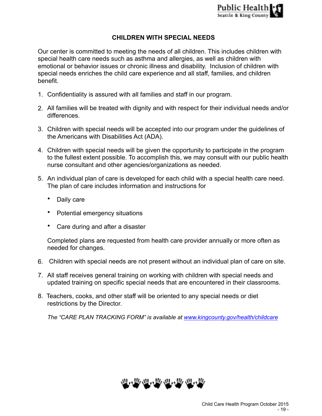# **CHILDREN WITH SPECIAL NEEDS**

Our center is committed to meeting the needs of all children. This includes children with special health care needs such as asthma and allergies, as well as children with emotional or behavior issues or chronic illness and disability. Inclusion of children with special needs enriches the child care experience and all staff, families, and children benefit.

- 1. Confidentiality is assured with all families and staff in our program.
- 2. All families will be treated with dignity and with respect for their individual needs and/or differences.
- 3. Children with special needs will be accepted into our program under the guidelines of the Americans with Disabilities Act (ADA).
- 4. Children with special needs will be given the opportunity to participate in the program to the fullest extent possible. To accomplish this, we may consult with our public health nurse consultant and other agencies/organizations as needed.
- 5. An individual plan of care is developed for each child with a special health care need. The plan of care includes information and instructions for
	- Daily care
	- Potential emergency situations
	- Care during and after a disaster

Completed plans are requested from health care provider annually or more often as needed for changes.

- 6. Children with special needs are not present without an individual plan of care on site.
- 7. All staff receives general training on working with children with special needs and updated training on specific special needs that are encountered in their classrooms.
- 8. Teachers, cooks, and other staff will be oriented to any special needs or diet restrictions by the Director.

*The "CARE PLAN TRACKING FORM" is available at [www.kingcounty.gov/health/childcare](http://www.kingcounty.gov/health/childcare)*

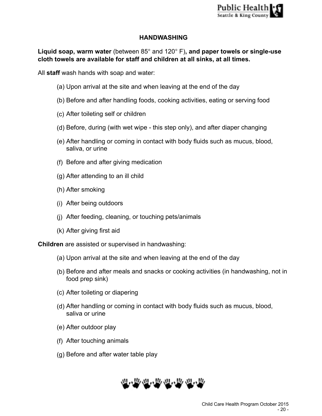# **HANDWASHING**

**Liquid soap, warm water** (between 85° and 120° F)**, and paper towels or single-use cloth towels are available for staff and children at all sinks, at all times.** 

All **staff** wash hands with soap and water:

- (a) Upon arrival at the site and when leaving at the end of the day
- (b) Before and after handling foods, cooking activities, eating or serving food
- (c) After toileting self or children
- (d) Before, during (with wet wipe this step only), and after diaper changing
- (e) After handling or coming in contact with body fluids such as mucus, blood, saliva, or urine
- (f) Before and after giving medication
- (g) After attending to an ill child
- (h) After smoking
- (i) After being outdoors
- (j) After feeding, cleaning, or touching pets/animals
- (k) After giving first aid

**Children** are assisted or supervised in handwashing:

- (a) Upon arrival at the site and when leaving at the end of the day
- (b) Before and after meals and snacks or cooking activities (in handwashing, not in food prep sink)
- (c) After toileting or diapering
- (d) After handling or coming in contact with body fluids such as mucus, blood, saliva or urine
- (e) After outdoor play
- (f) After touching animals
- (g) Before and after water table play

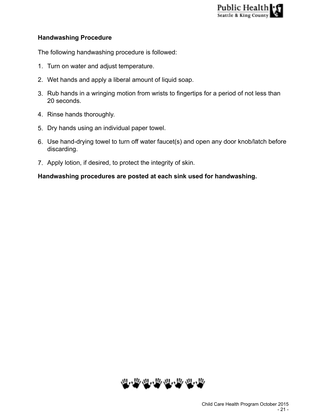

### **Handwashing Procedure**

The following handwashing procedure is followed:

- 1. Turn on water and adjust temperature.
- 2. Wet hands and apply a liberal amount of liquid soap.
- 3. Rub hands in a wringing motion from wrists to fingertips for a period of not less than 20 seconds.
- 4. Rinse hands thoroughly.
- 5. Dry hands using an individual paper towel.
- 6. Use hand-drying towel to turn off water faucet(s) and open any door knob/latch before discarding.
- 7. Apply lotion, if desired, to protect the integrity of skin.

#### **Handwashing procedures are posted at each sink used for handwashing.**

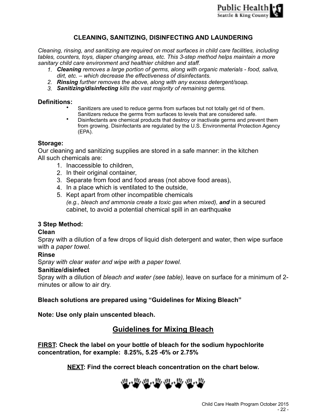

# **CLEANING, SANITIZING, DISINFECTING AND LAUNDERING**

*Cleaning, rinsing, and sanitizing are required on most surfaces in child care facilities, including tables, counters, toys, diaper changing areas, etc. This 3-step method helps maintain a more sanitary child care environment and healthier children and staff.* 

- *1. Cleaning removes a large portion of germs, along with organic materials food, saliva, dirt, etc. – which decrease the effectiveness of disinfectants.*
- *2. Rinsing further removes the above, along with any excess detergent/soap.*
- *3. Sanitizing/disinfecting kills the vast majority of remaining germs.*

#### **Definitions:**

- Sanitizers are used to reduce germs from surfaces but not totally get rid of them. Sanitizers reduce the germs from surfaces to levels that are considered safe.
- Disinfectants are chemical products that destroy or inactivate germs and prevent them from growing. Disinfectants are regulated by the U.S. Environmental Protection Agency (EPA).

#### **Storage:**

Our cleaning and sanitizing supplies are stored in a safe manner: in the kitchen All such chemicals are:

- 1. Inaccessible to children,
- 2. In their original container,
- 3. Separate from food and food areas (not above food areas),
- 4. In a place which is ventilated to the outside,
- 5. Kept apart from other incompatible chemicals *(e.g., bleach and ammonia create a toxic gas when mixed), and* in a secured cabinet, to avoid a potential chemical spill in an earthquake

### **3 Step Method:**

#### **Clean**

Spray with a dilution of a few drops of liquid dish detergent and water, then wipe surface with a *paper towel.*

#### **Rinse**

S*pray with clear water and wipe with a paper towel.*

#### **Sanitize/disinfect**

Spray with a dilution of *bleach and water (see table),* leave on surface for a minimum of 2 minutes or allow to air dry.

**Bleach solutions are prepared using "Guidelines for Mixing Bleach"** 

**Note: Use only plain unscented bleach.** 

# **Guidelines for Mixing Bleach**

**FIRST: Check the label on your bottle of bleach for the sodium hypochlorite concentration, for example: 8.25%, 5.25 -6% or 2.75%** 

**NEXT: Find the correct bleach concentration on the chart below.**

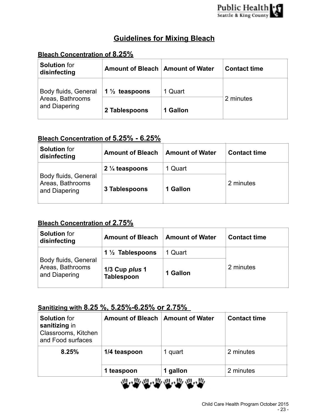# **Guidelines for Mixing Bleach**

# **Bleach Concentration of 8.25%**

| <b>Solution for</b><br>disinfecting | Amount of Bleach   Amount of Water |          | <b>Contact time</b> |
|-------------------------------------|------------------------------------|----------|---------------------|
| Body fluids, General                | 1 $\frac{1}{2}$ teaspoons          | 1 Quart  |                     |
| Areas, Bathrooms<br>and Diapering   | 2 Tablespoons                      | 1 Gallon | 2 minutes           |

# **Bleach Concentration of 5.25% - 6.25%**

| <b>Solution for</b><br>disinfecting                       | <b>Amount of Bleach</b>   | <b>Amount of Water</b> | <b>Contact time</b> |
|-----------------------------------------------------------|---------------------------|------------------------|---------------------|
|                                                           | 2 $\frac{1}{4}$ teaspoons | 1 Quart                |                     |
| Body fluids, General<br>Areas, Bathrooms<br>and Diapering | 3 Tablespoons             | 1 Gallon               | 2 minutes           |

# **Bleach Concentration of 2.75%**

| <b>Solution for</b><br>disinfecting                       | <b>Amount of Bleach</b>             | <b>Amount of Water</b> | <b>Contact time</b> |  |
|-----------------------------------------------------------|-------------------------------------|------------------------|---------------------|--|
|                                                           | 1 $\frac{1}{2}$ Tablespoons         | 1 Quart                |                     |  |
| Body fluids, General<br>Areas, Bathrooms<br>and Diapering | 1/3 Cup plus 1<br><b>Tablespoon</b> | 1 Gallon               | 2 minutes           |  |

# **Sanitizing with 8.25 %, 5.25%-6.25% or 2.75%**

| <b>Solution for</b><br>sanitizing in<br>Classrooms, Kitchen<br>and Food surfaces | Amount of Bleach   Amount of Water |          | <b>Contact time</b> |
|----------------------------------------------------------------------------------|------------------------------------|----------|---------------------|
| 8.25%                                                                            | 1/4 teaspoon                       | 1 quart  | 2 minutes           |
|                                                                                  | 1 teaspoon                         | 1 gallon | 2 minutes           |

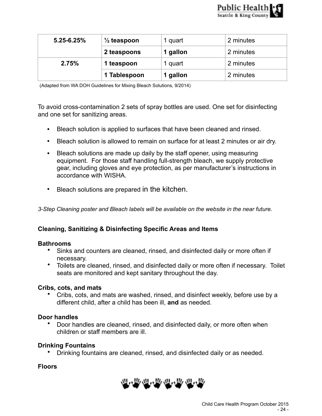

| $5.25 - 6.25%$ | $\frac{1}{2}$ teaspoon | 1 quart  | 2 minutes |
|----------------|------------------------|----------|-----------|
|                | 2 teaspoons            | 1 gallon | 2 minutes |
| 2.75%          | 1 teaspoon             | 1 quart  | 2 minutes |
|                | 1 Tablespoon           | 1 gallon | 2 minutes |

(Adapted from WA DOH Guidelines for Mixing Bleach Solutions, 9/2014)

To avoid cross-contamination 2 sets of spray bottles are used. One set for disinfecting and one set for sanitizing areas.

- Bleach solution is applied to surfaces that have been cleaned and rinsed.
- Bleach solution is allowed to remain on surface for at least 2 minutes or air dry.
- Bleach solutions are made up daily by the staff opener, using measuring equipment. For those staff handling full-strength bleach, we supply protective gear, including gloves and eye protection, as per manufacturer's instructions in accordance with WISHA.
- Bleach solutions are prepared in the kitchen.

*3-Step Cleaning poster and Bleach labels will be available on the website in the near future.* 

### **Cleaning, Sanitizing & Disinfecting Specific Areas and Items**

#### **Bathrooms**

- Sinks and counters are cleaned, rinsed, and disinfected daily or more often if necessary.
- Toilets are cleaned, rinsed, and disinfected daily or more often if necessary. Toilet seats are monitored and kept sanitary throughout the day.

#### **Cribs, cots, and mats**

• Cribs, cots, and mats are washed, rinsed, and disinfect weekly, before use by a different child, after a child has been ill, **and** as needed.

#### **Door handles**

• Door handles are cleaned, rinsed, and disinfected daily, or more often when children or staff members are ill.

#### **Drinking Fountains**

• Drinking fountains are cleaned, rinsed, and disinfected daily or as needed.

# **Floors**

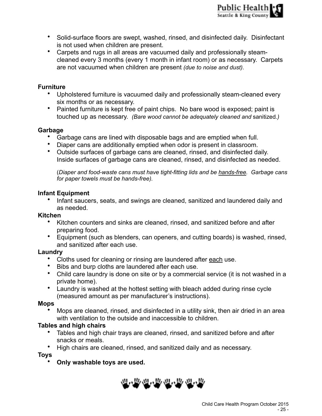- Solid-surface floors are swept, washed, rinsed, and disinfected daily. Disinfectant is not used when children are present.
- Carpets and rugs in all areas are vacuumed daily and professionally steamcleaned every 3 months (every 1 month in infant room) or as necessary. Carpets are not vacuumed when children are present *(due to noise and dust)*.

#### **Furniture**

- Upholstered furniture is vacuumed daily and professionally steam-cleaned every six months or as necessary.
- Painted furniture is kept free of paint chips. No bare wood is exposed; paint is touched up as necessary. *(Bare wood cannot be adequately cleaned and* sanitized*.)*

#### **Garbage**

- Garbage cans are lined with disposable bags and are emptied when full.
- Diaper cans are additionally emptied when odor is present in classroom.
- Outside surfaces of garbage cans are cleaned, rinsed, and disinfected daily. Inside surfaces of garbage cans are cleaned, rinsed, and disinfected as needed.

(*Diaper and food-waste cans must have tight-fitting lids and be hands-free. Garbage cans for paper towels must be hands-free).* 

#### **Infant Equipment**

• Infant saucers, seats, and swings are cleaned, sanitized and laundered daily and as needed.

#### **Kitchen**

- Kitchen counters and sinks are cleaned, rinsed, and sanitized before and after preparing food.
- Equipment (such as blenders, can openers, and cutting boards) is washed, rinsed, and sanitized after each use.

#### **Laundry**

- Cloths used for cleaning or rinsing are laundered after each use.
- Bibs and burp cloths are laundered after each use.
- Child care laundry is done on site or by a commercial service (it is not washed in a private home).
- Laundry is washed at the hottest setting with bleach added during rinse cycle (measured amount as per manufacturer's instructions).

#### **Mops**

• Mops are cleaned, rinsed, and disinfected in a utility sink, then air dried in an area with ventilation to the outside and inaccessible to children.

### **Tables and high chairs**

- Tables and high chair trays are cleaned, rinsed, and sanitized before and after snacks or meals.
- High chairs are cleaned, rinsed, and sanitized daily and as necessary.

**Toys** 

• **Only washable toys are used.**

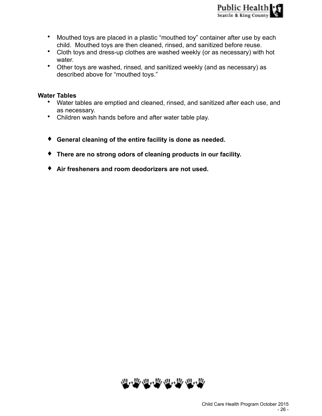- Mouthed toys are placed in a plastic "mouthed toy" container after use by each child. Mouthed toys are then cleaned, rinsed, and sanitized before reuse.
- Cloth toys and dress-up clothes are washed weekly (or as necessary) with hot water.
- Other toys are washed, rinsed, and sanitized weekly (and as necessary) as described above for "mouthed toys."

#### **Water Tables**

- Water tables are emptied and cleaned, rinsed, and sanitized after each use, and as necessary.
- Children wash hands before and after water table play.
- ♦ **General cleaning of the entire facility is done as needed.**
- ♦ **There are no strong odors of cleaning products in our facility.**
- ♦ **Air fresheners and room deodorizers are not used.**

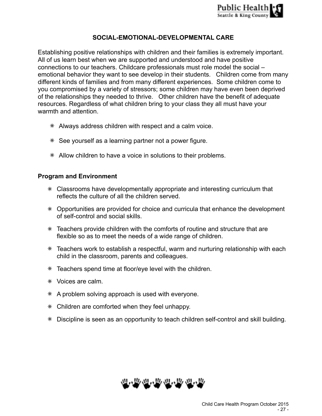

# **SOCIAL-EMOTIONAL-DEVELOPMENTAL CARE**

Establishing positive relationships with children and their families is extremely important. All of us learn best when we are supported and understood and have positive connections to our teachers. Childcare professionals must role model the social – emotional behavior they want to see develop in their students. Children come from many different kinds of families and from many different experiences. Some children come to you compromised by a variety of stressors; some children may have even been deprived of the relationships they needed to thrive. Other children have the benefit of adequate resources. Regardless of what children bring to your class they all must have your warmth and attention.

- ✵ Always address children with respect and a calm voice.
- ✵ See yourself as a learning partner not a power figure.
- ✵ Allow children to have a voice in solutions to their problems.

#### **Program and Environment**

- ✵ Classrooms have developmentally appropriate and interesting curriculum that reflects the culture of all the children served.
- ✵ Opportunities are provided for choice and curricula that enhance the development of self-control and social skills.
- ✵ Teachers provide children with the comforts of routine and structure that are flexible so as to meet the needs of a wide range of children.
- ✵ Teachers work to establish a respectful, warm and nurturing relationship with each child in the classroom, parents and colleagues.
- ✵ Teachers spend time at floor/eye level with the children.
- ✵ Voices are calm.
- $*$  A problem solving approach is used with everyone.
- ✵ Children are comforted when they feel unhappy.
- ✵ Discipline is seen as an opportunity to teach children self-control and skill building.

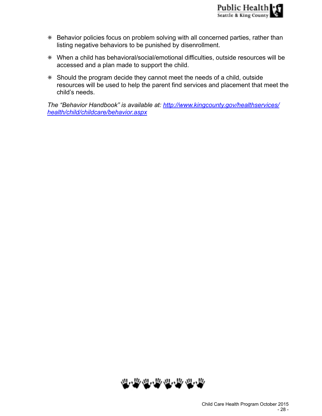- ✵ Behavior policies focus on problem solving with all concerned parties, rather than listing negative behaviors to be punished by disenrollment.
- ✵ When a child has behavioral/social/emotional difficulties, outside resources will be accessed and a plan made to support the child.
- ✵ Should the program decide they cannot meet the needs of a child, outside resources will be used to help the parent find services and placement that meet the child's needs.

*[The "Behavior Handbook" is available at: http://www.kingcounty.gov/healthservices/](http://www.kingcounty.gov/healthservices/health/child/childcare/behavior.aspx) health/child/childcare/behavior.aspx*

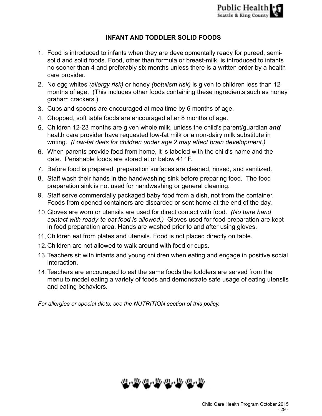# **INFANT AND TODDLER SOLID FOODS**

- 1. Food is introduced to infants when they are developmentally ready for pureed, semisolid and solid foods. Food, other than formula or breast-milk, is introduced to infants no sooner than 4 and preferably six months unless there is a written order by a health care provider.
- 2. No egg whites *(allergy risk)* or honey *(botulism risk)* is given to children less than 12 months of age. (This includes other foods containing these ingredients such as honey graham crackers.)
- 3. Cups and spoons are encouraged at mealtime by 6 months of age.
- 4. Chopped, soft table foods are encouraged after 8 months of age.
- 5. Children 12-23 months are given whole milk, unless the child's parent/guardian *and* health care provider have requested low-fat milk or a non-dairy milk substitute in writing. *(Low-fat diets for children under age 2 may affect brain development.)*
- 6. When parents provide food from home, it is labeled with the child's name and the date. Perishable foods are stored at or below 41° F.
- 7. Before food is prepared, preparation surfaces are cleaned, rinsed, and sanitized.
- 8. Staff wash their hands in the handwashing sink before preparing food. The food preparation sink is not used for handwashing or general cleaning.
- 9. Staff serve commercially packaged baby food from a dish, not from the container. Foods from opened containers are discarded or sent home at the end of the day.
- 10.Gloves are worn or utensils are used for direct contact with food. *(No bare hand contact with ready-to-eat food is allowed.)* Gloves used for food preparation are kept in food preparation area. Hands are washed prior to and after using gloves.
- 11. Children eat from plates and utensils. Food is not placed directly on table.
- 12.Children are not allowed to walk around with food or cups.
- 13.Teachers sit with infants and young children when eating and engage in positive social interaction.
- 14.Teachers are encouraged to eat the same foods the toddlers are served from the menu to model eating a variety of foods and demonstrate safe usage of eating utensils and eating behaviors.

*For allergies or special diets, see the NUTRITION section of this policy.* 

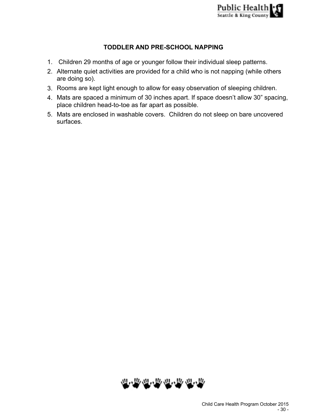

# **TODDLER AND PRE-SCHOOL NAPPING**

- 1. Children 29 months of age or younger follow their individual sleep patterns.
- 2. Alternate quiet activities are provided for a child who is not napping (while others are doing so).
- 3. Rooms are kept light enough to allow for easy observation of sleeping children.
- 4. Mats are spaced a minimum of 30 inches apart. If space doesn't allow 30" spacing, place children head-to-toe as far apart as possible.
- 5. Mats are enclosed in washable covers. Children do not sleep on bare uncovered surfaces.

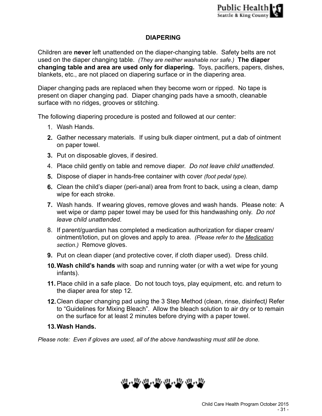# **DIAPERING**

Children are **never** left unattended on the diaper-changing table. Safety belts are not used on the diaper changing table. *(They are neither washable nor safe.)* **The diaper changing table and area are used only for diapering.** Toys, pacifiers, papers, dishes, blankets, etc., are not placed on diapering surface or in the diapering area.

Diaper changing pads are replaced when they become worn or ripped. No tape is present on diaper changing pad. Diaper changing pads have a smooth, cleanable surface with no ridges, grooves or stitching.

The following diapering procedure is posted and followed at our center:

- 1. Wash Hands.
- **2.** Gather necessary materials. If using bulk diaper ointment, put a dab of ointment on paper towel.
- **3.** Put on disposable gloves, if desired.
- 4. Place child gently on table and remove diaper. *Do not leave child unattended*.
- **5.** Dispose of diaper in hands-free container with cover *(foot pedal type).*
- **6.** Clean the child's diaper (peri-anal) area from front to back, using a clean, damp wipe for each stroke.
- **7.** Wash hands. If wearing gloves, remove gloves and wash hands. Please note: A wet wipe or damp paper towel may be used for this handwashing only. *Do not leave child unattended*.
- 8. If parent/guardian has completed a medication authorization for diaper cream/ ointment/lotion, put on gloves and apply to area. *(Please refer to the Medication section.)* Remove gloves.
- **9.** Put on clean diaper (and protective cover, if cloth diaper used). Dress child.
- **10.Wash child's hands** with soap and running water (or with a wet wipe for young infants).
- **11.**Place child in a safe place. Do not touch toys, play equipment, etc. and return to the diaper area for step 12.
- **12.**Clean diaper changing pad using the 3 Step Method (clean, rinse, disinfect*)* Refer to "Guidelines for Mixing Bleach". Allow the bleach solution to air dry or to remain on the surface for at least 2 minutes before drying with a paper towel.

# **13.Wash Hands.**

*Please note: Even if gloves are used, all of the above handwashing must still be done.* 

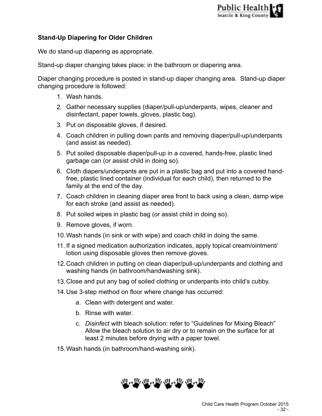# **Stand-Up Diapering for Older Children**

We do stand-up diapering as appropriate.

Stand-up diaper changing takes place: in the bathroom or diapering area.

Diaper changing procedure is posted in stand-up diaper changing area. Stand-up diaper changing procedure is followed:

- 1. Wash hands.
- 2. Gather necessary supplies (diaper/pull-up/underpants, wipes, cleaner and disinfectant, paper towels, gloves, plastic bag).
- 3. Put on disposable gloves, if desired.
- 4. Coach children in pulling down pants and removing diaper/pull-up/underpants (and assist as needed).
- 5. Put soiled disposable diaper/pull-up in a covered, hands-free, plastic lined garbage can (or assist child in doing so).
- 6. Cloth diapers/underpants are put in a plastic bag and put into a covered handfree, plastic lined container (individual for each child), then returned to the family at the end of the day.
- 7. Coach children in cleaning diaper area front to back using a clean, damp wipe for each stroke (and assist as needed).
- 8. Put soiled wipes in plastic bag (or assist child in doing so).
- 9. Remove gloves, if worn.
- 10.Wash hands (in sink or with wipe) and coach child in doing the same.
- 11. If a signed medication authorization indicates, apply topical cream/ointment/ lotion using disposable gloves then remove gloves.
- 12.Coach children in putting on clean diaper/pull-up/underpants and clothing and washing hands (in bathroom/handwashing sink).
- 13.Close and put any bag of soiled clothing or underpants into child's cubby.
- 14.Use 3-step method on floor where change has occurred:
	- a. Clean with detergent and water.
	- b. Rinse with water.
	- c. *Disinfect* with bleach solution: refer to "Guidelines for Mixing Bleach" Allow the bleach solution to air dry or to remain on the surface for at least 2 minutes before drying with a paper towel.
- 15.Wash hands (in bathroom/hand-washing sink).

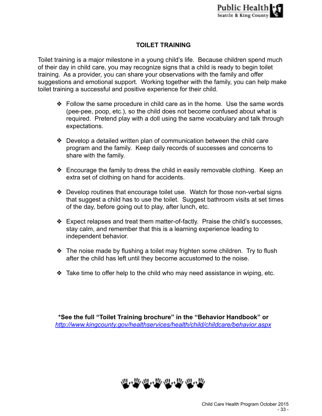# **TOILET TRAINING**

Toilet training is a major milestone in a young child's life. Because children spend much of their day in child care, you may recognize signs that a child is ready to begin toilet training. As a provider, you can share your observations with the family and offer suggestions and emotional support. Working together with the family, you can help make toilet training a successful and positive experience for their child.

- ❖ Follow the same procedure in child care as in the home. Use the same words (pee-pee, poop, etc.), so the child does not become confused about what is required. Pretend play with a doll using the same vocabulary and talk through expectations.
- ❖ Develop a detailed written plan of communication between the child care program and the family. Keep daily records of successes and concerns to share with the family.
- ❖ Encourage the family to dress the child in easily removable clothing. Keep an extra set of clothing on hand for accidents.
- ❖ Develop routines that encourage toilet use. Watch for those non-verbal signs that suggest a child has to use the toilet. Suggest bathroom visits at set times of the day, before going out to play, after lunch, etc.
- ❖ Expect relapses and treat them matter-of-factly. Praise the child's successes, stay calm, and remember that this is a learning experience leading to independent behavior.
- ❖ The noise made by flushing a toilet may frighten some children. Try to flush after the child has left until they become accustomed to the noise.
- ❖ Take time to offer help to the child who may need assistance in wiping, etc.

**\*See the full "Toilet Training brochure" in the "Behavior Handbook" or**  *<http://www.kingcounty.gov/healthservices/health/child/childcare/behavior.aspx>*

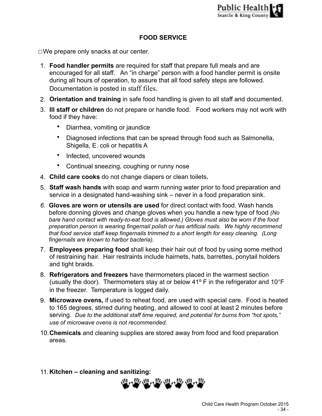# **FOOD SERVICE**

☐We prepare only snacks at our center.

- 1. **Food handler permits** are required for staff that prepare full meals and are encouraged for all staff. An "in charge" person with a food handler permit is onsite during all hours of operation, to assure that all food safety steps are followed. Documentation is posted in staff files.
- 2. **Orientation and training** in safe food handling is given to all staff and documented.
- 3. **Ill staff or children** do not prepare or handle food. Food workers may not work with food if they have:
	- Diarrhea, vomiting or jaundice
	- Diagnosed infections that can be spread through food such as Salmonella, Shigella, E. coli or hepatitis A
	- Infected, uncovered wounds
	- Continual sneezing, coughing or runny nose
- 4. **Child care cooks** do not change diapers or clean toilets**.**
- 5. **Staff wash hands** with soap and warm running water prior to food preparation and service in a designated hand-washing sink – never in a food preparation sink.
- *6.* **Gloves are worn or utensils are used** for direct contact with food. Wash hands before donning gloves and change gloves when you handle a new type of food *(No bare hand contact with ready-to-eat food is allowed.) Gloves must also be worn if the food preparation person is wearing fingernail polish or has artificial nails.**We highly recommend that food service staff keep fingernails trimmed to a short length for easy cleaning. (Long fingernails are known to harbor bacteria).*
- 7. **Employees preparing food** shall keep their hair out of food by using some method of restraining hair. Hair restraints include hairnets, hats, barrettes, ponytail holders and tight braids.
- 8. **Refrigerators and freezers** have thermometers placed in the warmest section (usually the door). Thermometers stay at or below 41º F in the refrigerator and 10°F in the freezer. Temperature is logged daily.
- 9. **Microwave ovens,** if used to reheat food, are used with special care. Food is heated to 165 degrees, stirred during heating, and allowed to cool at least 2 minutes before serving. *Due to the additional staff time required, and potential for burns from "hot spots," use of microwave ovens is not recommended.*
- 10.**Chemicals** and cleaning supplies are stored away from food and food preparation areas.
- 11.**Kitchen cleaning and sanitizing:**

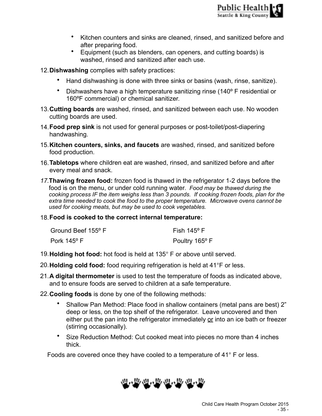- Kitchen counters and sinks are cleaned, rinsed, and sanitized before and after preparing food.
- Equipment (such as blenders, can openers, and cutting boards) is washed, rinsed and sanitized after each use.
- 12.**Dishwashing** complies with safety practices:
	- Hand dishwashing is done with three sinks or basins (wash, rinse, sanitize).
	- Dishwashers have a high temperature sanitizing rinse (140º F residential or 160ºF commercial) or chemical sanitizer.
- 13.**Cutting boards** are washed, rinsed, and sanitized between each use. No wooden cutting boards are used.
- 14.**Food prep sink** is not used for general purposes or post-toilet/post-diapering handwashing.
- 15.**Kitchen counters, sinks, and faucets** are washed, rinsed, and sanitized before food production.
- 16.**Tabletops** where children eat are washed, rinsed, and sanitized before and after every meal and snack.
- *17.***Thawing frozen food:** frozen food is thawed in the refrigerator 1-2 days before the food is on the menu, or under cold running water*. Food may be thawed during the cooking process IF the item weighs less than 3 pounds. If cooking frozen foods, plan for the extra time needed to cook the food to the proper temperature. Microwave ovens cannot be used for cooking meats, but may be used to cook vegetables.*
- 18.**Food is cooked to the correct internal temperature:**

| Ground Beef 155° F   | Fish 145° F    |
|----------------------|----------------|
| Pork $145^{\circ}$ F | Poultry 165° F |

- 19.**Holding hot food:** hot food is held at 135° F or above until served.
- 20.**Holding cold food:** food requiring refrigeration is held at 41°F or less.
- 21.**A digital thermometer** is used to test the temperature of foods as indicated above, and to ensure foods are served to children at a safe temperature.
- 22.**Cooling foods** is done by one of the following methods:
	- Shallow Pan Method: Place food in shallow containers (metal pans are best) 2" deep or less, on the top shelf of the refrigerator. Leave uncovered and then either put the pan into the refrigerator immediately or into an ice bath or freezer (stirring occasionally).
	- Size Reduction Method: Cut cooked meat into pieces no more than 4 inches thick.

Foods are covered once they have cooled to a temperature of 41° F or less.

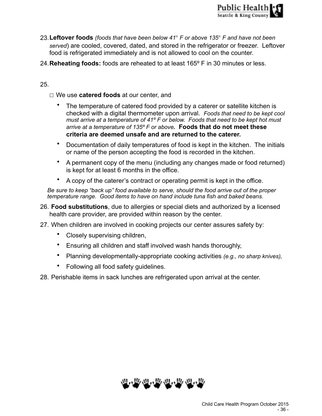- 23.**Leftover foods** *(foods that have been below 41*° *F or above 135*° *F and have not been served*) are cooled, covered, dated, and stored in the refrigerator or freezer. Leftover food is refrigerated immediately and is not allowed to cool on the counter.
- 24.**Reheating foods:** foods are reheated to at least 165º F in 30 minutes or less.

# 25.

☐ We use **catered foods** at our center, and

- The temperature of catered food provided by a caterer or satellite kitchen is checked with a digital thermometer upon arrival. *Foods that need to be kept cool must arrive at a temperature of 41º F or below. Foods that need to be kept hot must arrive at a temperature of 135º F or above.* **Foods that do not meet these criteria are deemed unsafe and are returned to the caterer.**
- Documentation of daily temperatures of food is kept in the kitchen. The initials or name of the person accepting the food is recorded in the kitchen.
- A permanent copy of the menu (including any changes made or food returned) is kept for at least 6 months in the office.
- A copy of the caterer's contract or operating permit is kept in the office.

*Be sure to keep "back up" food available to serve, should the food arrive out of the proper temperature range. Good items to have on hand include tuna fish and baked beans.* 

- 26. **Food substitutions**, due to allergies or special diets and authorized by a licensed health care provider, are provided within reason by the center.
- 27. When children are involved in cooking projects our center assures safety by:
	- Closely supervising children,
	- Ensuring all children and staff involved wash hands thoroughly,
	- Planning developmentally-appropriate cooking activities *(e.g., no sharp knives),*
	- Following all food safety guidelines.

28. Perishable items in sack lunches are refrigerated upon arrival at the center.

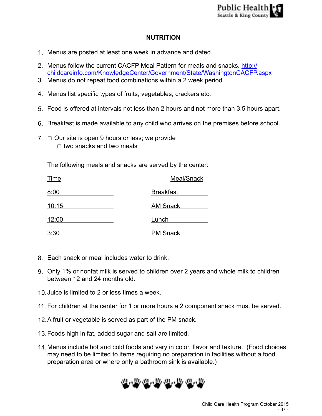# **NUTRITION**

- 1. Menus are posted at least one week in advance and dated.
- 2. Menus follow the current CACFP Meal Pattern for meals and snacks. http:// [childcareinfo.com/KnowledgeCenter/Government/State/WashingtonCACFP.aspx](http://childcareinfo.com/KnowledgeCenter/Government/State/WashingtonCACFP.aspx)
- 3. Menus do not repeat food combinations within a 2 week period.
- 4. Menus list specific types of fruits, vegetables, crackers etc.
- 5. Food is offered at intervals not less than 2 hours and not more than 3.5 hours apart.
- 6. Breakfast is made available to any child who arrives on the premises before school.
- $7. \Box$  Our site is open 9 hours or less; we provide  $\Box$  two snacks and two meals

The following meals and snacks are served by the center:

| Time  | Meal/Snack       |
|-------|------------------|
| 8:00  | <b>Breakfast</b> |
| 10:15 | <b>AM Snack</b>  |
| 12:00 | Lunch            |
| 3:30  | <b>PM Snack</b>  |

- 8. Each snack or meal includes water to drink.
- 9. Only 1% or nonfat milk is served to children over 2 years and whole milk to children between 12 and 24 months old.
- 10.Juice is limited to 2 or less times a week.
- 11. For children at the center for 1 or more hours a 2 component snack must be served.
- 12.A fruit or vegetable is served as part of the PM snack.
- 13.Foods high in fat, added sugar and salt are limited.
- 14.Menus include hot and cold foods and vary in color, flavor and texture. (Food choices may need to be limited to items requiring no preparation in facilities without a food preparation area or where only a bathroom sink is available.)

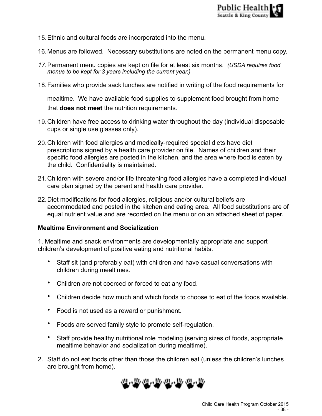- 15.Ethnic and cultural foods are incorporated into the menu.
- 16.Menus are followed. Necessary substitutions are noted on the permanent menu copy.
- *17.*Permanent menu copies are kept on file for at least six months. *(USDA requires food menus to be kept for 3 years including the current year.)*
- 18.Families who provide sack lunches are notified in writing of the food requirements for

mealtime. We have available food supplies to supplement food brought from home that **does not meet** the nutrition requirements.

- 19.Children have free access to drinking water throughout the day (individual disposable cups or single use glasses only).
- 20.Children with food allergies and medically-required special diets have diet prescriptions signed by a health care provider on file. Names of children and their specific food allergies are posted in the kitchen, and the area where food is eaten by the child. Confidentiality is maintained.
- 21.Children with severe and/or life threatening food allergies have a completed individual care plan signed by the parent and health care provider.
- 22.Diet modifications for food allergies, religious and/or cultural beliefs are accommodated and posted in the kitchen and eating area. All food substitutions are of equal nutrient value and are recorded on the menu or on an attached sheet of paper.

### **Mealtime Environment and Socialization**

1. Mealtime and snack environments are developmentally appropriate and support children's development of positive eating and nutritional habits.

- Staff sit (and preferably eat) with children and have casual conversations with children during mealtimes.
- Children are not coerced or forced to eat any food.
- Children decide how much and which foods to choose to eat of the foods available.
- Food is not used as a reward or punishment.
- Foods are served family style to promote self-regulation.
- Staff provide healthy nutritional role modeling (serving sizes of foods, appropriate mealtime behavior and socialization during mealtime).
- 2. Staff do not eat foods other than those the children eat (unless the children's lunches are brought from home).

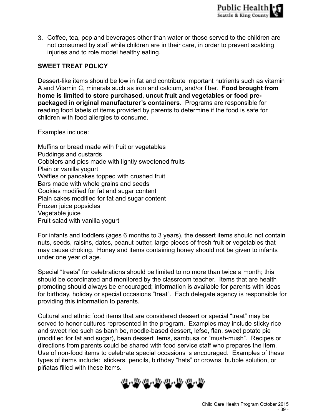3. Coffee, tea, pop and beverages other than water or those served to the children are not consumed by staff while children are in their care, in order to prevent scalding injuries and to role model healthy eating.

# **SWEET TREAT POLICY**

Dessert-like items should be low in fat and contribute important nutrients such as vitamin A and Vitamin C, minerals such as iron and calcium, and/or fiber. **Food brought from home is limited to store purchased, uncut fruit and vegetables or food prepackaged in original manufacturer's containers**. Programs are responsible for reading food labels of items provided by parents to determine if the food is safe for children with food allergies to consume.

Examples include:

Muffins or bread made with fruit or vegetables Puddings and custards Cobblers and pies made with lightly sweetened fruits Plain or vanilla yogurt Waffles or pancakes topped with crushed fruit Bars made with whole grains and seeds Cookies modified for fat and sugar content Plain cakes modified for fat and sugar content Frozen juice popsicles Vegetable juice Fruit salad with vanilla yogurt

For infants and toddlers (ages 6 months to 3 years), the dessert items should not contain nuts, seeds, raisins, dates, peanut butter, large pieces of fresh fruit or vegetables that may cause choking. Honey and items containing honey should not be given to infants under one year of age.

Special "treats" for celebrations should be limited to no more than twice a month; this should be coordinated and monitored by the classroom teacher. Items that are health promoting should always be encouraged; information is available for parents with ideas for birthday, holiday or special occasions "treat". Each delegate agency is responsible for providing this information to parents.

Cultural and ethnic food items that are considered dessert or special "treat" may be served to honor cultures represented in the program. Examples may include sticky rice and sweet rice such as banh bo, noodle-based dessert, lefse, flan, sweet potato pie (modified for fat and sugar), bean dessert items, sambusa or "mush-mush". Recipes or directions from parents could be shared with food service staff who prepares the item. Use of non-food items to celebrate special occasions is encouraged. Examples of these types of items include: stickers, pencils, birthday "hats" or crowns, bubble solution, or piñatas filled with these items.

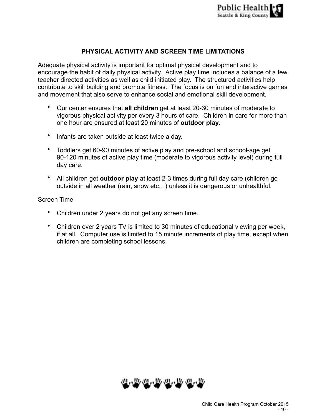

# **PHYSICAL ACTIVITY AND SCREEN TIME LIMITATIONS**

Adequate physical activity is important for optimal physical development and to encourage the habit of daily physical activity. Active play time includes a balance of a few teacher directed activities as well as child initiated play. The structured activities help contribute to skill building and promote fitness. The focus is on fun and interactive games and movement that also serve to enhance social and emotional skill development.

- Our center ensures that **all children** get at least 20-30 minutes of moderate to vigorous physical activity per every 3 hours of care. Children in care for more than one hour are ensured at least 20 minutes of **outdoor play**.
- Infants are taken outside at least twice a day.
- Toddlers get 60-90 minutes of active play and pre-school and school-age get 90-120 minutes of active play time (moderate to vigorous activity level) during full day care.
- All children get **outdoor play** at least 2-3 times during full day care (children go outside in all weather (rain, snow etc…) unless it is dangerous or unhealthful.

#### Screen Time

- Children under 2 years do not get any screen time.
- Children over 2 years TV is limited to 30 minutes of educational viewing per week, if at all. Computer use is limited to 15 minute increments of play time, except when children are completing school lessons.

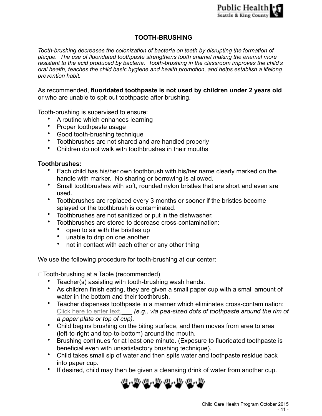# **TOOTH-BRUSHING**

*Tooth-brushing decreases the colonization of bacteria on teeth by disrupting the formation of plaque. The use of fluoridated toothpaste strengthens tooth enamel making the enamel more resistant to the acid produced by bacteria. Tooth-brushing in the classroom improves the child's oral health, teaches the child basic hygiene and health promotion, and helps establish a lifelong prevention habit.* 

As recommended, **fluoridated toothpaste is not used by children under 2 years old**  or who are unable to spit out toothpaste after brushing.

Tooth-brushing is supervised to ensure:

- A routine which enhances learning
- Proper toothpaste usage
- Good tooth-brushing technique
- Toothbrushes are not shared and are handled properly
- Children do not walk with toothbrushes in their mouths

### **Toothbrushes:**

- Each child has his/her own toothbrush with his/her name clearly marked on the handle with marker. No sharing or borrowing is allowed.
- Small toothbrushes with soft, rounded nylon bristles that are short and even are used.
- Toothbrushes are replaced every 3 months or sooner if the bristles become splayed or the toothbrush is contaminated.
- Toothbrushes are not sanitized or put in the dishwasher.
- Toothbrushes are stored to decrease cross-contamination:
	- open to air with the bristles up
	- unable to drip on one another
	- not in contact with each other or any other thing

We use the following procedure for tooth-brushing at our center:

☐Tooth-brushing at a Table (recommended)

- Teacher(s) assisting with tooth-brushing wash hands.
- As children finish eating, they are given a small paper cup with a small amount of water in the bottom and their toothbrush.
- Teacher dispenses toothpaste in a manner which eliminates cross-contamination: Click here to enter text. **\_\_\_** *(e.g., via pea-sized dots of toothpaste around the rim of a paper plate or top of cup).*
- Child begins brushing on the biting surface, and then moves from area to area (left-to-right and top-to-bottom) around the mouth.
- Brushing continues for at least one minute. (Exposure to fluoridated toothpaste is beneficial even with unsatisfactory brushing technique).
- Child takes small sip of water and then spits water and toothpaste residue back into paper cup.
- If desired, child may then be given a cleansing drink of water from another cup.

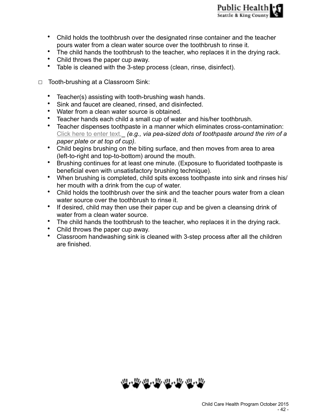- Child holds the toothbrush over the designated rinse container and the teacher pours water from a clean water source over the toothbrush to rinse it.
- The child hands the toothbrush to the teacher, who replaces it in the drying rack.
- Child throws the paper cup away.
- Table is cleaned with the 3-step process (clean, rinse, disinfect).
- ☐Tooth-brushing at a Classroom Sink:
	- Teacher(s) assisting with tooth-brushing wash hands.
	- Sink and faucet are cleaned, rinsed, and disinfected.
	- Water from a clean water source is obtained.
	- Teacher hands each child a small cup of water and his/her toothbrush.
	- Teacher dispenses toothpaste in a manner which eliminates cross-contamination: Click here to enter text.\_ *(e.g., via pea-sized dots of toothpaste around the rim of a paper plate or at top of cup).*
	- Child begins brushing on the biting surface, and then moves from area to area (left-to-right and top-to-bottom) around the mouth.
	- Brushing continues for at least one minute. (Exposure to fluoridated toothpaste is beneficial even with unsatisfactory brushing technique).
	- When brushing is completed, child spits excess toothpaste into sink and rinses his/ her mouth with a drink from the cup of water.
	- Child holds the toothbrush over the sink and the teacher pours water from a clean water source over the toothbrush to rinse it.
	- If desired, child may then use their paper cup and be given a cleansing drink of water from a clean water source.
	- The child hands the toothbrush to the teacher, who replaces it in the drying rack.
	- Child throws the paper cup away.
	- Classroom handwashing sink is cleaned with 3-step process after all the children are finished.

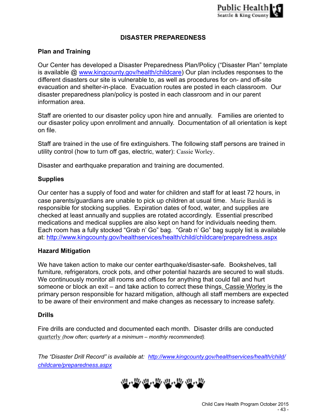# **DISASTER PREPAREDNESS**

# **Plan and Training**

Our Center has developed a Disaster Preparedness Plan/Policy ("Disaster Plan" template is available @ [www.kingcounty.gov/health/childcare](http://www.kingcounty.gov/health/childcare)) Our plan includes responses to the different disasters our site is vulnerable to, as well as procedures for on- and off-site evacuation and shelter-in-place. Evacuation routes are posted in each classroom. Our disaster preparedness plan/policy is posted in each classroom and in our parent information area.

Staff are oriented to our disaster policy upon hire and annually. Families are oriented to our disaster policy upon enrollment and annually. Documentation of all orientation is kept on file.

Staff are trained in the use of fire extinguishers. The following staff persons are trained in utility control (how to turn off gas, electric, water): Cassie Worley.

Disaster and earthquake preparation and training are documented.

### **Supplies**

Our center has a supply of food and water for children and staff for at least 72 hours, in case parents/guardians are unable to pick up children at usual time. Marie Baraldi is responsible for stocking supplies. Expiration dates of food, water, and supplies are checked at least annually and supplies are rotated accordingly. Essential prescribed medications and medical supplies are also kept on hand for individuals needing them. Each room has a fully stocked "Grab n' Go" bag. "Grab n' Go" bag supply list is available at: <http://www.kingcounty.gov/healthservices/health/child/childcare/preparedness.aspx>

### **Hazard Mitigation**

We have taken action to make our center earthquake/disaster-safe. Bookshelves, tall furniture, refrigerators, crock pots, and other potential hazards are secured to wall studs. We continuously monitor all rooms and offices for anything that could fall and hurt someone or block an exit – and take action to correct these things. Cassie Worley is the primary person responsible for hazard mitigation, although all staff members are expected to be aware of their environment and make changes as necessary to increase safety.

### **Drills**

Fire drills are conducted and documented each month. Disaster drills are conducted quarterly *(how often; quarterly at a minimum – monthly recommended).* 

*The "Disaster Drill Record" is available at: [http://www.kingcounty.gov/healthservices/health/child/](http://www.kingcounty.gov/healthservices/health/child/childcare/preparedness.aspx) childcare/preparedness.aspx*

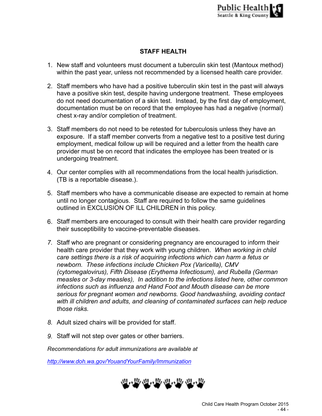# **STAFF HEALTH**

- 1. New staff and volunteers must document a tuberculin skin test (Mantoux method) within the past year, unless not recommended by a licensed health care provider.
- 2. Staff members who have had a positive tuberculin skin test in the past will always have a positive skin test, despite having undergone treatment. These employees do not need documentation of a skin test. Instead, by the first day of employment, documentation must be on record that the employee has had a negative (normal) chest x-ray and/or completion of treatment.
- 3. Staff members do not need to be retested for tuberculosis unless they have an exposure. If a staff member converts from a negative test to a positive test during employment, medical follow up will be required and a letter from the health care provider must be on record that indicates the employee has been treated or is undergoing treatment.
- 4. Our center complies with all recommendations from the local health jurisdiction. (TB is a reportable disease.).
- 5. Staff members who have a communicable disease are expected to remain at home until no longer contagious. Staff are required to follow the same guidelines outlined in EXCLUSION OF ILL CHILDREN in this policy.
- 6. Staff members are encouraged to consult with their health care provider regarding their susceptibility to vaccine-preventable diseases.
- *7.* Staff who are pregnant or considering pregnancy are encouraged to inform their health care provider that they work with young children. *When working in child care settings there is a risk of acquiring infections which can harm a fetus or newborn. These infections include Chicken Pox (Varicella), CMV (cytomegalovirus), Fifth Disease (Erythema Infectiosum), and Rubella (German measles or 3-day measles), In addition to the infections listed here, other common infections such as influenza and Hand Foot and Mouth disease can be more serious for pregnant women and newborns. Good handwashiing, avoiding contact with ill children and adults, and cleaning of contaminated surfaces can help reduce those risks.*
- *8.* Adult sized chairs will be provided for staff.
- *9.* Staff will not step over gates or other barriers.

*Recommendations for adult immunizations are available at* 

*http://www.doh.wa.gov/YouandYourFamily/Immunization*

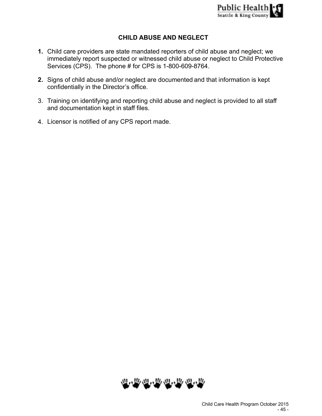# **CHILD ABUSE AND NEGLECT**

- **1.** Child care providers are state mandated reporters of child abuse and neglect; we immediately report suspected or witnessed child abuse or neglect to Child Protective Services (CPS). The phone # for CPS is 1-800-609-8764.
- **2.** Signs of child abuse and/or neglect are documented and that information is kept confidentially in the Director's office.
- 3. Training on identifying and reporting child abuse and neglect is provided to all staff and documentation kept in staff files.
- 4. Licensor is notified of any CPS report made.

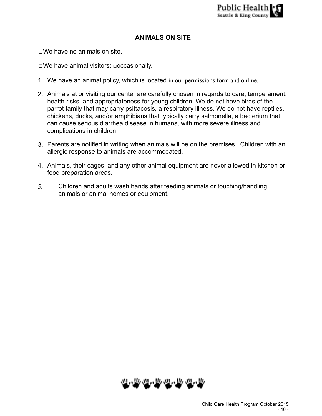# **ANIMALS ON SITE**

☐We have no animals on site.

☐We have animal visitors: □occasionally.

- 1. We have an animal policy, which is located in our permissions form and online.
- 2. Animals at or visiting our center are carefully chosen in regards to care, temperament, health risks, and appropriateness for young children. We do not have birds of the parrot family that may carry psittacosis, a respiratory illness. We do not have reptiles, chickens, ducks, and/or amphibians that typically carry salmonella, a bacterium that can cause serious diarrhea disease in humans, with more severe illness and complications in children.
- 3. Parents are notified in writing when animals will be on the premises. Children with an allergic response to animals are accommodated.
- 4. Animals, their cages, and any other animal equipment are never allowed in kitchen or food preparation areas.
- 5. Children and adults wash hands after feeding animals or touching/handling animals or animal homes or equipment.